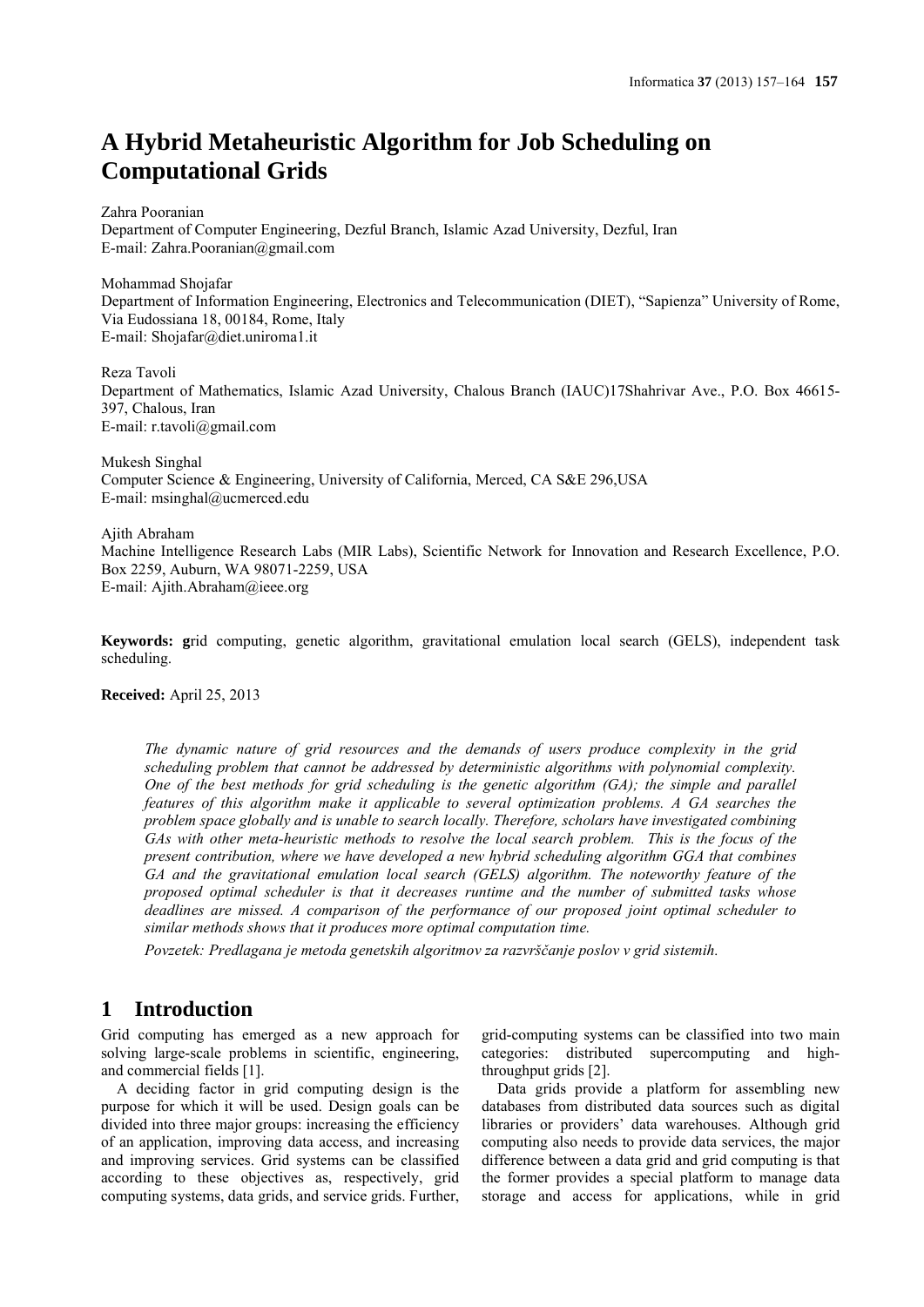# **A Hybrid Metaheuristic Algorithm for Job Scheduling on Computational Grids**

Zahra Pooranian

Department of Computer Engineering, Dezful Branch, Islamic Azad University, Dezful, Iran E-mail: Zahra.Pooranian@gmail.com

Mohammad Shojafar Department of Information Engineering, Electronics and Telecommunication (DIET), "Sapienza" University of Rome, Via Eudossiana 18, 00184, Rome, Italy E-mail: Shojafar@diet.uniroma1.it

Reza Tavoli

Department of Mathematics, Islamic Azad University, Chalous Branch (IAUC)17Shahrivar Ave., P.O. Box 46615- 397, Chalous, Iran E-mail: r.tavoli@gmail.com

Mukesh Singhal Computer Science & Engineering, University of California, Merced, CA S&E 296,USA E-mail: msinghal@ucmerced.edu

Ajith Abraham Machine Intelligence Research Labs (MIR Labs), Scientific Network for Innovation and Research Excellence, P.O. Box 2259, Auburn, WA 98071-2259, USA E-mail: Ajith.Abraham@ieee.org

**Keywords: g**rid computing, genetic algorithm, gravitational emulation local search (GELS), independent task scheduling.

**Received:** April 25, 2013

*The dynamic nature of grid resources and the demands of users produce complexity in the grid scheduling problem that cannot be addressed by deterministic algorithms with polynomial complexity. One of the best methods for grid scheduling is the genetic algorithm (GA); the simple and parallel features of this algorithm make it applicable to several optimization problems. A GA searches the problem space globally and is unable to search locally. Therefore, scholars have investigated combining GAs with other meta-heuristic methods to resolve the local search problem. This is the focus of the present contribution, where we have developed a new hybrid scheduling algorithm GGA that combines GA and the gravitational emulation local search (GELS) algorithm. The noteworthy feature of the proposed optimal scheduler is that it decreases runtime and the number of submitted tasks whose deadlines are missed. A comparison of the performance of our proposed joint optimal scheduler to similar methods shows that it produces more optimal computation time.*

*Povzetek: Predlagana je metoda genetskih algoritmov za razvrščanje poslov v grid sistemih.* 

# **1 Introduction**

Grid computing has emerged as a new approach for solving large-scale problems in scientific, engineering, and commercial fields [1].

A deciding factor in grid computing design is the purpose for which it will be used. Design goals can be divided into three major groups: increasing the efficiency of an application, improving data access, and increasing and improving services. Grid systems can be classified according to these objectives as, respectively, grid computing systems, data grids, and service grids. Further, grid-computing systems can be classified into two main categories: distributed supercomputing and highthroughput grids [2].

Data grids provide a platform for assembling new databases from distributed data sources such as digital libraries or providers' data warehouses. Although grid computing also needs to provide data services, the major difference between a data grid and grid computing is that the former provides a special platform to manage data storage and access for applications, while in grid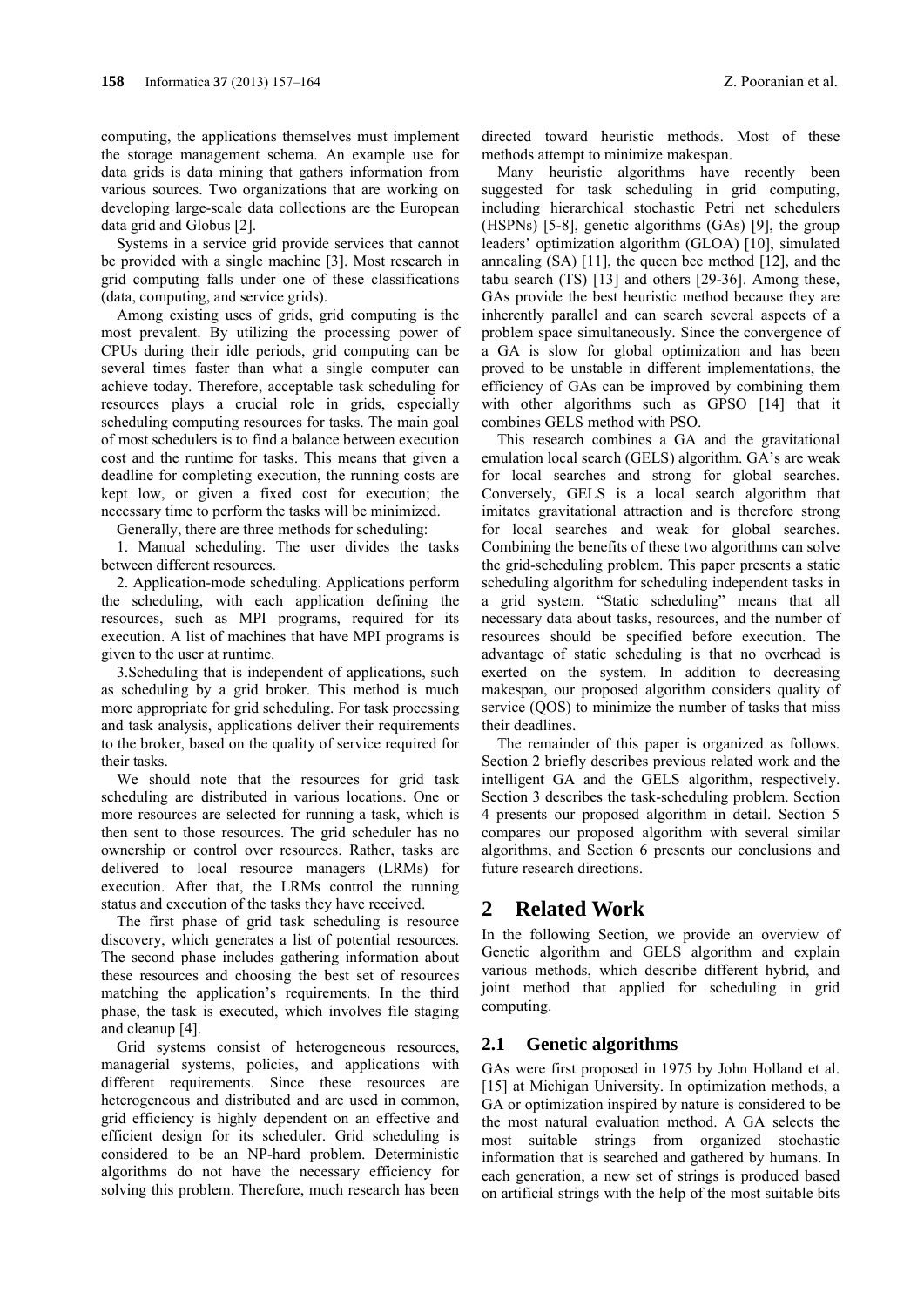computing, the applications themselves must implement the storage management schema. An example use for data grids is data mining that gathers information from various sources. Two organizations that are working on developing large-scale data collections are the European data grid and Globus [2].

Systems in a service grid provide services that cannot be provided with a single machine [3]. Most research in grid computing falls under one of these classifications (data, computing, and service grids).

Among existing uses of grids, grid computing is the most prevalent. By utilizing the processing power of CPUs during their idle periods, grid computing can be several times faster than what a single computer can achieve today. Therefore, acceptable task scheduling for resources plays a crucial role in grids, especially scheduling computing resources for tasks. The main goal of most schedulers is to find a balance between execution cost and the runtime for tasks. This means that given a deadline for completing execution, the running costs are kept low, or given a fixed cost for execution; the necessary time to perform the tasks will be minimized.

Generally, there are three methods for scheduling:

1. Manual scheduling. The user divides the tasks between different resources.

2. Application-mode scheduling. Applications perform the scheduling, with each application defining the resources, such as MPI programs, required for its execution. A list of machines that have MPI programs is given to the user at runtime.

3.Scheduling that is independent of applications, such as scheduling by a grid broker. This method is much more appropriate for grid scheduling. For task processing and task analysis, applications deliver their requirements to the broker, based on the quality of service required for their tasks.

We should note that the resources for grid task scheduling are distributed in various locations. One or more resources are selected for running a task, which is then sent to those resources. The grid scheduler has no ownership or control over resources. Rather, tasks are delivered to local resource managers (LRMs) for execution. After that, the LRMs control the running status and execution of the tasks they have received.

The first phase of grid task scheduling is resource discovery, which generates a list of potential resources. The second phase includes gathering information about these resources and choosing the best set of resources matching the application's requirements. In the third phase, the task is executed, which involves file staging and cleanup [4].

Grid systems consist of heterogeneous resources, managerial systems, policies, and applications with different requirements. Since these resources are heterogeneous and distributed and are used in common, grid efficiency is highly dependent on an effective and efficient design for its scheduler. Grid scheduling is considered to be an NP-hard problem. Deterministic algorithms do not have the necessary efficiency for solving this problem. Therefore, much research has been directed toward heuristic methods. Most of these methods attempt to minimize makespan.

Many heuristic algorithms have recently been suggested for task scheduling in grid computing, including hierarchical stochastic Petri net schedulers (HSPNs) [5-8], genetic algorithms (GAs) [9], the group leaders' optimization algorithm (GLOA) [10], simulated annealing (SA) [11], the queen bee method [12], and the tabu search (TS) [13] and others [29-36]. Among these, GAs provide the best heuristic method because they are inherently parallel and can search several aspects of a problem space simultaneously. Since the convergence of a GA is slow for global optimization and has been proved to be unstable in different implementations, the efficiency of GAs can be improved by combining them with other algorithms such as GPSO [14] that it combines GELS method with PSO.

This research combines a GA and the gravitational emulation local search (GELS) algorithm. GA's are weak for local searches and strong for global searches. Conversely, GELS is a local search algorithm that imitates gravitational attraction and is therefore strong for local searches and weak for global searches. Combining the benefits of these two algorithms can solve the grid-scheduling problem. This paper presents a static scheduling algorithm for scheduling independent tasks in a grid system. "Static scheduling" means that all necessary data about tasks, resources, and the number of resources should be specified before execution. The advantage of static scheduling is that no overhead is exerted on the system. In addition to decreasing makespan, our proposed algorithm considers quality of service (OOS) to minimize the number of tasks that miss their deadlines.

The remainder of this paper is organized as follows. Section 2 briefly describes previous related work and the intelligent GA and the GELS algorithm, respectively. Section 3 describes the task-scheduling problem. Section 4 presents our proposed algorithm in detail. Section 5 compares our proposed algorithm with several similar algorithms, and Section 6 presents our conclusions and future research directions.

# **2 Related Work**

In the following Section, we provide an overview of Genetic algorithm and GELS algorithm and explain various methods, which describe different hybrid, and joint method that applied for scheduling in grid computing.

## **2.1 Genetic algorithms**

GAs were first proposed in 1975 by John Holland et al. [15] at Michigan University. In optimization methods, a GA or optimization inspired by nature is considered to be the most natural evaluation method. A GA selects the most suitable strings from organized stochastic information that is searched and gathered by humans. In each generation, a new set of strings is produced based on artificial strings with the help of the most suitable bits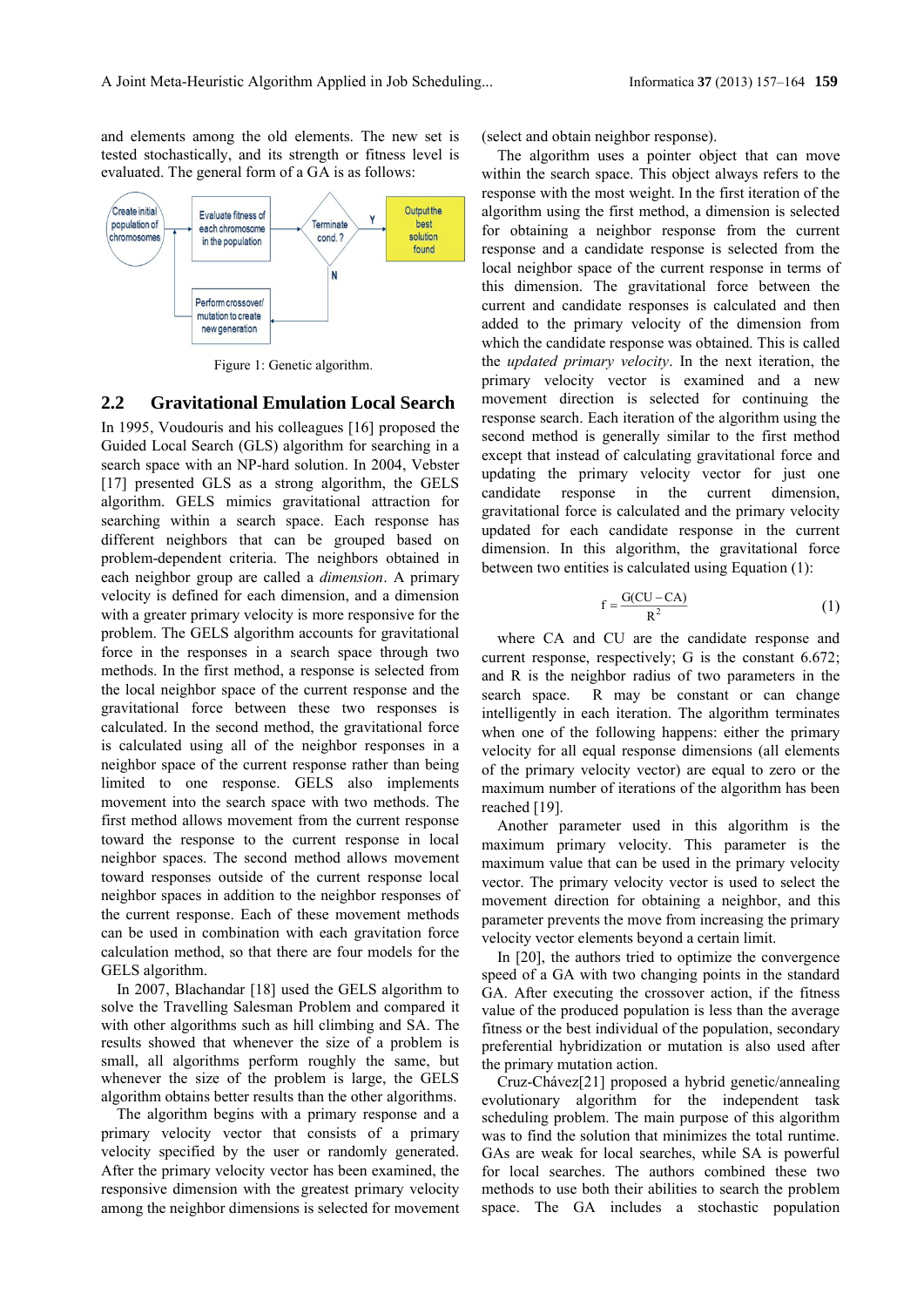and elements among the old elements. The new set is tested stochastically, and its strength or fitness level is evaluated. The general form of a GA is as follows:



Figure 1: Genetic algorithm.

#### **2.2 Gravitational Emulation Local Search**

In 1995, Voudouris and his colleagues [16] proposed the Guided Local Search (GLS) algorithm for searching in a search space with an NP-hard solution. In 2004, Vebster [17] presented GLS as a strong algorithm, the GELS algorithm. GELS mimics gravitational attraction for searching within a search space. Each response has different neighbors that can be grouped based on problem-dependent criteria. The neighbors obtained in each neighbor group are called a *dimension*. A primary velocity is defined for each dimension, and a dimension with a greater primary velocity is more responsive for the problem. The GELS algorithm accounts for gravitational force in the responses in a search space through two methods. In the first method, a response is selected from the local neighbor space of the current response and the gravitational force between these two responses is calculated. In the second method, the gravitational force is calculated using all of the neighbor responses in a neighbor space of the current response rather than being limited to one response. GELS also implements movement into the search space with two methods. The first method allows movement from the current response toward the response to the current response in local neighbor spaces. The second method allows movement toward responses outside of the current response local neighbor spaces in addition to the neighbor responses of the current response. Each of these movement methods can be used in combination with each gravitation force calculation method, so that there are four models for the GELS algorithm.

In 2007, Blachandar [18] used the GELS algorithm to solve the Travelling Salesman Problem and compared it with other algorithms such as hill climbing and SA. The results showed that whenever the size of a problem is small, all algorithms perform roughly the same, but whenever the size of the problem is large, the GELS algorithm obtains better results than the other algorithms.

The algorithm begins with a primary response and a primary velocity vector that consists of a primary velocity specified by the user or randomly generated. After the primary velocity vector has been examined, the responsive dimension with the greatest primary velocity among the neighbor dimensions is selected for movement

(select and obtain neighbor response).

The algorithm uses a pointer object that can move within the search space. This object always refers to the response with the most weight. In the first iteration of the algorithm using the first method, a dimension is selected for obtaining a neighbor response from the current response and a candidate response is selected from the local neighbor space of the current response in terms of this dimension. The gravitational force between the current and candidate responses is calculated and then added to the primary velocity of the dimension from which the candidate response was obtained. This is called the *updated primary velocity*. In the next iteration, the primary velocity vector is examined and a new movement direction is selected for continuing the response search. Each iteration of the algorithm using the second method is generally similar to the first method except that instead of calculating gravitational force and updating the primary velocity vector for just one candidate response in the current dimension, gravitational force is calculated and the primary velocity updated for each candidate response in the current dimension. In this algorithm, the gravitational force between two entities is calculated using Equation (1):

$$
f = \frac{G(CU - CA)}{R^2}
$$
 (1)

where CA and CU are the candidate response and current response, respectively; G is the constant 6.672; and R is the neighbor radius of two parameters in the search space. R may be constant or can change intelligently in each iteration. The algorithm terminates when one of the following happens: either the primary velocity for all equal response dimensions (all elements of the primary velocity vector) are equal to zero or the maximum number of iterations of the algorithm has been reached [19].

Another parameter used in this algorithm is the maximum primary velocity. This parameter is the maximum value that can be used in the primary velocity vector. The primary velocity vector is used to select the movement direction for obtaining a neighbor, and this parameter prevents the move from increasing the primary velocity vector elements beyond a certain limit.

In [20], the authors tried to optimize the convergence speed of a GA with two changing points in the standard GA. After executing the crossover action, if the fitness value of the produced population is less than the average fitness or the best individual of the population, secondary preferential hybridization or mutation is also used after the primary mutation action.

Cruz-Chávez[21] proposed a hybrid genetic/annealing evolutionary algorithm for the independent task scheduling problem. The main purpose of this algorithm was to find the solution that minimizes the total runtime. GAs are weak for local searches, while SA is powerful for local searches. The authors combined these two methods to use both their abilities to search the problem space. The GA includes a stochastic population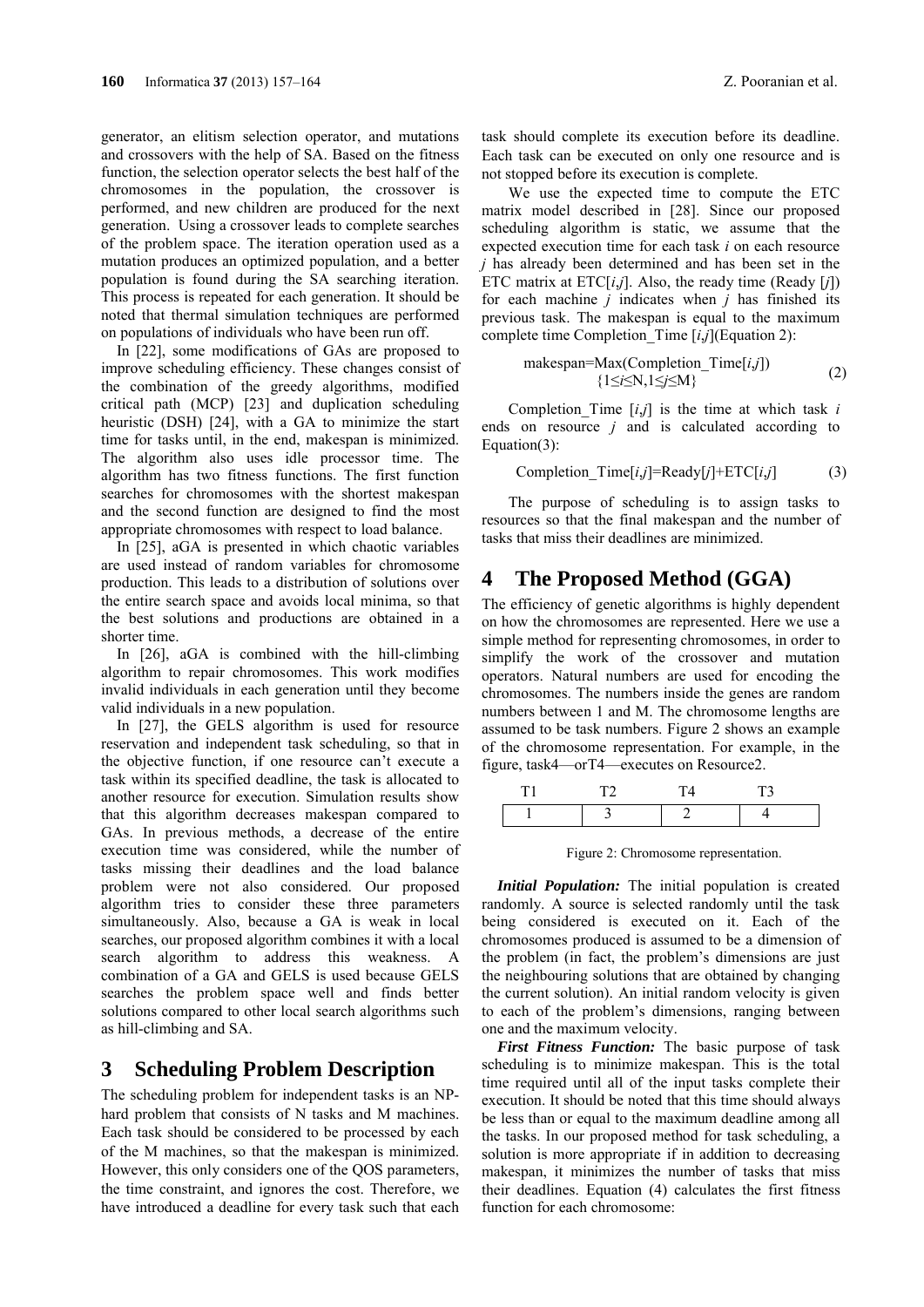generator, an elitism selection operator, and mutations and crossovers with the help of SA. Based on the fitness function, the selection operator selects the best half of the chromosomes in the population, the crossover is performed, and new children are produced for the next generation. Using a crossover leads to complete searches of the problem space. The iteration operation used as a mutation produces an optimized population, and a better population is found during the SA searching iteration. This process is repeated for each generation. It should be noted that thermal simulation techniques are performed on populations of individuals who have been run off.

In [22], some modifications of GAs are proposed to improve scheduling efficiency. These changes consist of the combination of the greedy algorithms, modified critical path (MCP) [23] and duplication scheduling heuristic (DSH) [24], with a GA to minimize the start time for tasks until, in the end, makespan is minimized. The algorithm also uses idle processor time. The algorithm has two fitness functions. The first function searches for chromosomes with the shortest makespan and the second function are designed to find the most appropriate chromosomes with respect to load balance.

In [25], aGA is presented in which chaotic variables are used instead of random variables for chromosome production. This leads to a distribution of solutions over the entire search space and avoids local minima, so that the best solutions and productions are obtained in a shorter time.

In [26], aGA is combined with the hill-climbing algorithm to repair chromosomes. This work modifies invalid individuals in each generation until they become valid individuals in a new population.

In [27], the GELS algorithm is used for resource reservation and independent task scheduling, so that in the objective function, if one resource can't execute a task within its specified deadline, the task is allocated to another resource for execution. Simulation results show that this algorithm decreases makespan compared to GAs. In previous methods, a decrease of the entire execution time was considered, while the number of tasks missing their deadlines and the load balance problem were not also considered. Our proposed algorithm tries to consider these three parameters simultaneously. Also, because a GA is weak in local searches, our proposed algorithm combines it with a local search algorithm to address this weakness. A combination of a GA and GELS is used because GELS searches the problem space well and finds better solutions compared to other local search algorithms such as hill-climbing and SA.

### **3 Scheduling Problem Description**

The scheduling problem for independent tasks is an NPhard problem that consists of N tasks and M machines. Each task should be considered to be processed by each of the M machines, so that the makespan is minimized. However, this only considers one of the QOS parameters, the time constraint, and ignores the cost. Therefore, we have introduced a deadline for every task such that each task should complete its execution before its deadline. Each task can be executed on only one resource and is not stopped before its execution is complete.

We use the expected time to compute the ETC matrix model described in [28]. Since our proposed scheduling algorithm is static, we assume that the expected execution time for each task *i* on each resource *j* has already been determined and has been set in the ETC matrix at ETC[*i*,*j*]. Also, the ready time (Ready [*j*]) for each machine *j* indicates when *j* has finished its previous task. The makespan is equal to the maximum complete time Completion\_Time [*i*,*j*](Equation 2):

$$
makespan=Max(Completion\_Time[i,j])
$$
  
\n
$$
\{1 \le i \le N, 1 \le j \le M\}
$$
 (2)

Completion Time  $[i,j]$  is the time at which task  $i$ ends on resource *j* and is calculated according to Equation(3):

$$
Completion\_Time[i,j] = Ready[j] + ETC[i,j] \tag{3}
$$

The purpose of scheduling is to assign tasks to resources so that the final makespan and the number of tasks that miss their deadlines are minimized.

## **4 The Proposed Method (GGA)**

The efficiency of genetic algorithms is highly dependent on how the chromosomes are represented. Here we use a simple method for representing chromosomes, in order to simplify the work of the crossover and mutation operators. Natural numbers are used for encoding the chromosomes. The numbers inside the genes are random numbers between 1 and M. The chromosome lengths are assumed to be task numbers. Figure 2 shows an example of the chromosome representation. For example, in the figure, task4—orT4—executes on Resource2.

Figure 2: Chromosome representation.

*Initial Population:* The initial population is created randomly. A source is selected randomly until the task being considered is executed on it. Each of the chromosomes produced is assumed to be a dimension of the problem (in fact, the problem's dimensions are just the neighbouring solutions that are obtained by changing the current solution). An initial random velocity is given to each of the problem's dimensions, ranging between one and the maximum velocity.

*First Fitness Function:* The basic purpose of task scheduling is to minimize makespan. This is the total time required until all of the input tasks complete their execution. It should be noted that this time should always be less than or equal to the maximum deadline among all the tasks. In our proposed method for task scheduling, a solution is more appropriate if in addition to decreasing makespan, it minimizes the number of tasks that miss their deadlines. Equation (4) calculates the first fitness function for each chromosome: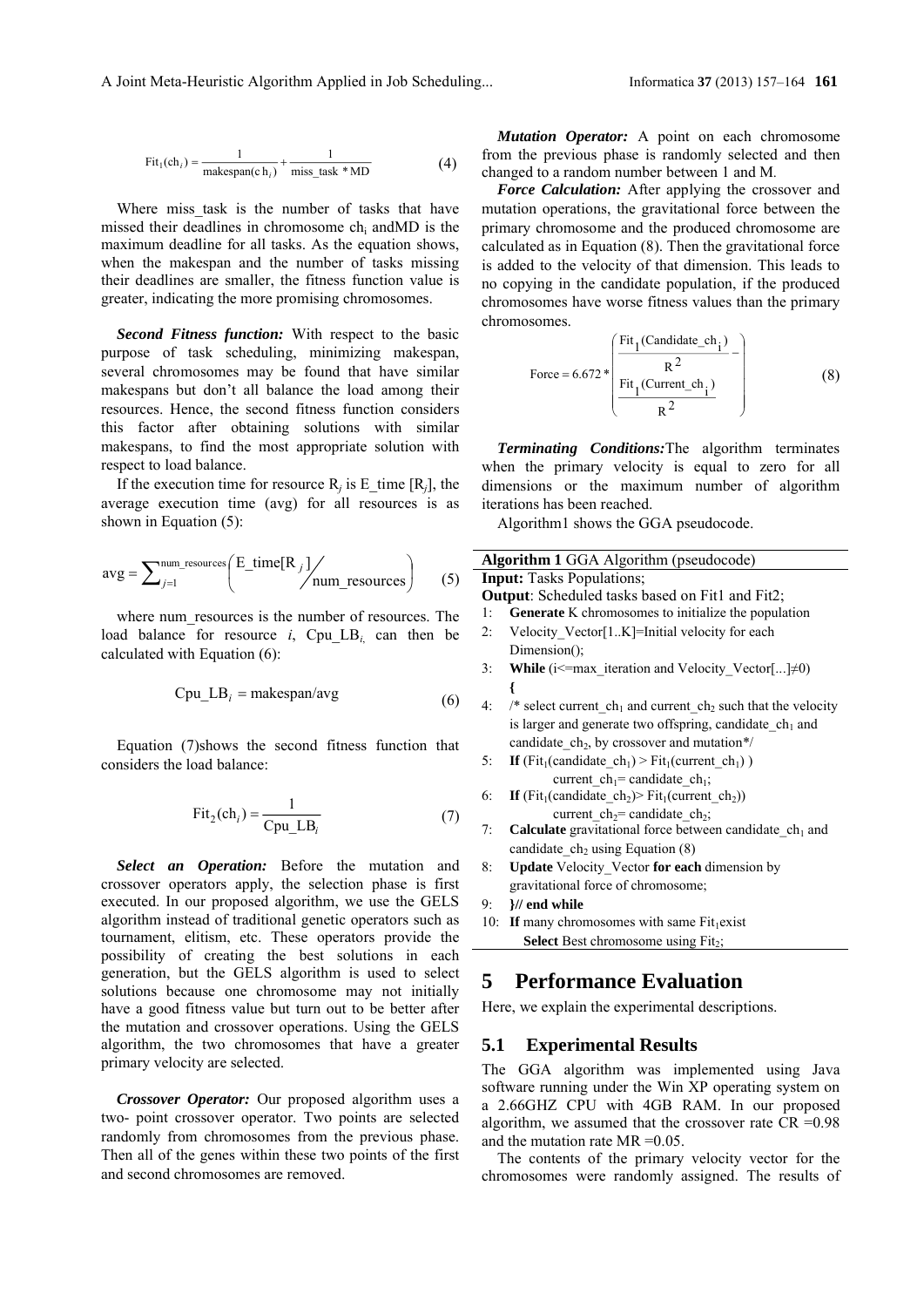$$
Fit1(chi) = {1 \nmaxespan(chi)} + {1 \nmax_s task * MD}
$$
 (4)

Where miss task is the number of tasks that have missed their deadlines in chromosome chi andMD is the maximum deadline for all tasks. As the equation shows, when the makespan and the number of tasks missing their deadlines are smaller, the fitness function value is greater, indicating the more promising chromosomes.

*Second Fitness function:* With respect to the basic purpose of task scheduling, minimizing makespan, several chromosomes may be found that have similar makespans but don't all balance the load among their resources. Hence, the second fitness function considers this factor after obtaining solutions with similar makespans, to find the most appropriate solution with respect to load balance.

If the execution time for resource  $R_i$  is E\_time  $[R_i]$ , the average execution time (avg) for all resources is as shown in Equation (5):

$$
avg = \sum_{j=1}^{num\_resources} \left( \frac{E_time[R_j]}{num\_resources} \right) \tag{5}
$$

where num resources is the number of resources. The load balance for resource  $i$ , Cpu LB<sub>i</sub> can then be calculated with Equation (6):

$$
Cpu\_LB_i = makespan/avg
$$
 (6)

Equation (7)shows the second fitness function that considers the load balance:

$$
Fit2(chi) = \frac{1}{Cpu\_LBi} \tag{7}
$$

*Select an Operation:* Before the mutation and crossover operators apply, the selection phase is first executed. In our proposed algorithm, we use the GELS algorithm instead of traditional genetic operators such as tournament, elitism, etc. These operators provide the possibility of creating the best solutions in each generation, but the GELS algorithm is used to select solutions because one chromosome may not initially have a good fitness value but turn out to be better after the mutation and crossover operations. Using the GELS algorithm, the two chromosomes that have a greater primary velocity are selected.

*Crossover Operator:* Our proposed algorithm uses a two- point crossover operator. Two points are selected randomly from chromosomes from the previous phase. Then all of the genes within these two points of the first and second chromosomes are removed.

*Mutation Operator:* A point on each chromosome from the previous phase is randomly selected and then changed to a random number between 1 and M*.*

*Force Calculation:* After applying the crossover and mutation operations, the gravitational force between the primary chromosome and the produced chromosome are calculated as in Equation (8). Then the gravitational force is added to the velocity of that dimension. This leads to no copying in the candidate population, if the produced chromosomes have worse fitness values than the primary chromosomes.

Force = 6.672 \* 
$$
\begin{pmatrix} \frac{\text{Fit}_1(\text{Candidate\_ch}_i)}{R^2} \\ \frac{\text{Fit}_1(\text{Current\_ch}_i)}{R^2} \end{pmatrix}
$$
 (8)

*Terminating Conditions:*The algorithm terminates when the primary velocity is equal to zero for all dimensions or the maximum number of algorithm iterations has been reached.

Algorithm1 shows the GGA pseudocode.

| Algorithm 1 GGA Algorithm (pseudocode)                                   |  |  |  |
|--------------------------------------------------------------------------|--|--|--|
| <b>Input:</b> Tasks Populations;                                         |  |  |  |
| <b>Output:</b> Scheduled tasks based on Fit1 and Fit2;                   |  |  |  |
| Generate K chromosomes to initialize the population<br>1:                |  |  |  |
| Velocity Vector[1K]=Initial velocity for each<br>2:                      |  |  |  |
| Dimension();                                                             |  |  |  |
| While (i<=max_iteration and Velocity_Vector[] $\neq$ 0)<br>3:            |  |  |  |
| ł                                                                        |  |  |  |
| /* select current $ch_1$ and current $ch_2$ such that the velocity<br>4: |  |  |  |
| is larger and generate two offspring, candidate $ch1$ and                |  |  |  |
| candidate $ch_2$ , by crossover and mutation*/                           |  |  |  |
| If $(Fit_1(candidate ch_1) > Fit_1(current ch_1))$<br>5:                 |  |  |  |
| current $ch_1$ = candidate $ch_1$ ;                                      |  |  |  |
| If $(Fit_1(candidate ch_2) > Fit_1(current ch_2))$<br>6:                 |  |  |  |
| current ch <sub>2</sub> = candidate ch <sub>2</sub> ;                    |  |  |  |
| <b>Calculate</b> gravitational force between candidate $ch1$ and<br>7:   |  |  |  |
| candidate $ch2$ using Equation (8)                                       |  |  |  |
| Update Velocity Vector for each dimension by<br>8:                       |  |  |  |
| gravitational force of chromosome;                                       |  |  |  |
| }// end while<br>9:                                                      |  |  |  |
| If many chromosomes with same $Fit1 exist$<br>10:                        |  |  |  |
| <b>Select</b> Best chromosome using Fit <sub>2</sub> ;                   |  |  |  |
|                                                                          |  |  |  |
| <b>Performance Evaluation</b><br>5                                       |  |  |  |
| Here, we explain the experimental descriptions.                          |  |  |  |
|                                                                          |  |  |  |
| 5.1<br><b>Experimental Results</b>                                       |  |  |  |

The GGA algorithm was implemented using Java software running under the Win XP operating system on a 2.66GHZ CPU with 4GB RAM. In our proposed algorithm, we assumed that the crossover rate CR =0.98 and the mutation rate MR =0.05.

The contents of the primary velocity vector for the chromosomes were randomly assigned. The results of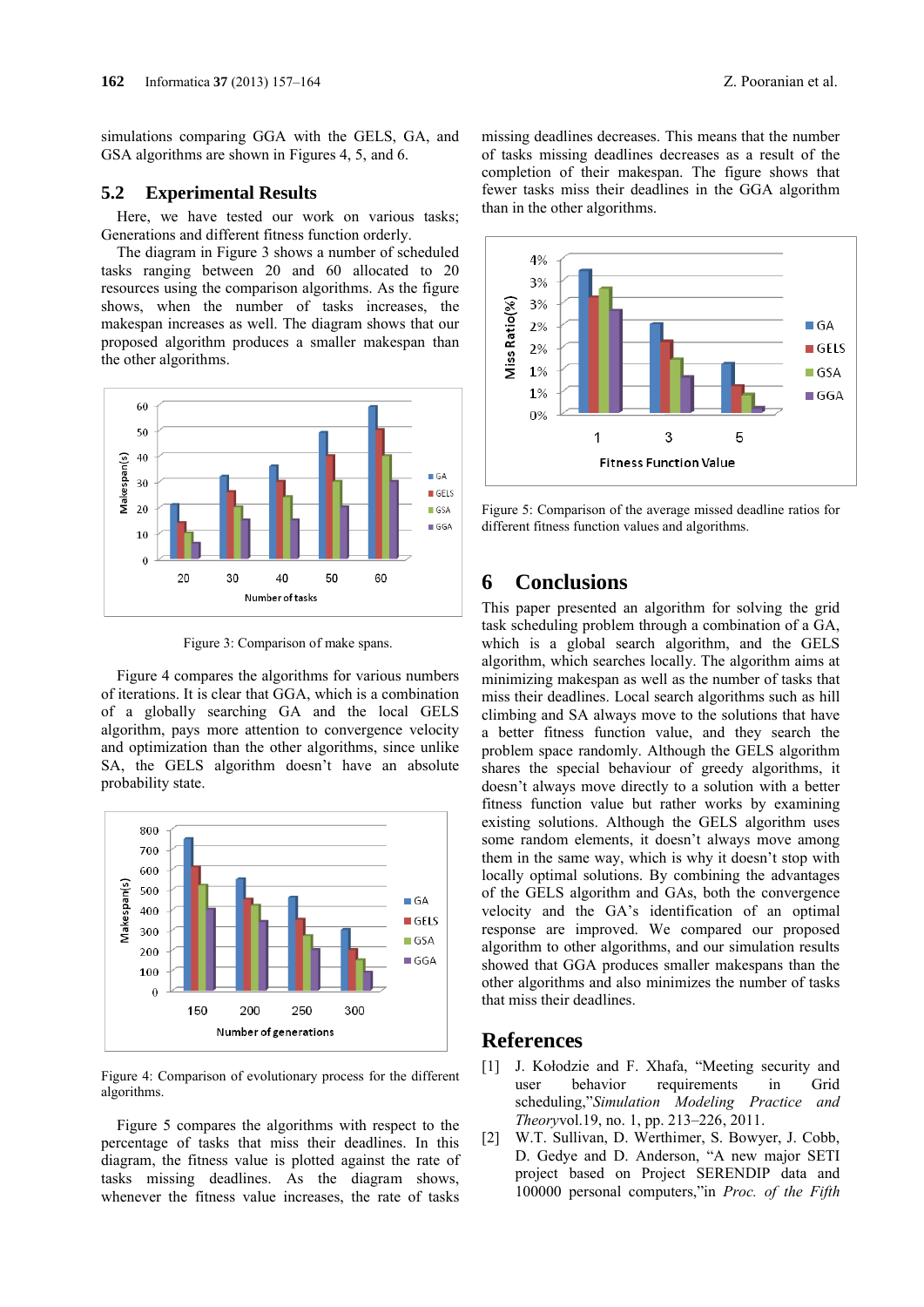simulations comparing GGA with the GELS, GA, and GSA algorithms are shown in Figures 4, 5, and 6.

#### **5.2 Experimental Results**

Here, we have tested our work on various tasks; Generations and different fitness function orderly.

The diagram in Figure 3 shows a number of scheduled tasks ranging between 20 and 60 allocated to 20 resources using the comparison algorithms. As the figure shows, when the number of tasks increases, the makespan increases as well. The diagram shows that our proposed algorithm produces a smaller makespan than the other algorithms.



Figure 3: Comparison of make spans.

Figure 4 compares the algorithms for various numbers of iterations. It is clear that GGA, which is a combination of a globally searching GA and the local GELS algorithm, pays more attention to convergence velocity and optimization than the other algorithms, since unlike SA, the GELS algorithm doesn't have an absolute probability state.



Figure 4: Comparison of evolutionary process for the different algorithms.

Figure 5 compares the algorithms with respect to the percentage of tasks that miss their deadlines. In this diagram, the fitness value is plotted against the rate of tasks missing deadlines. As the diagram shows, whenever the fitness value increases, the rate of tasks

missing deadlines decreases. This means that the number of tasks missing deadlines decreases as a result of the completion of their makespan. The figure shows that fewer tasks miss their deadlines in the GGA algorithm than in the other algorithms.



Figure 5: Comparison of the average missed deadline ratios for different fitness function values and algorithms.

## **6 Conclusions**

This paper presented an algorithm for solving the grid task scheduling problem through a combination of a GA, which is a global search algorithm, and the GELS algorithm, which searches locally. The algorithm aims at minimizing makespan as well as the number of tasks that miss their deadlines. Local search algorithms such as hill climbing and SA always move to the solutions that have a better fitness function value, and they search the problem space randomly. Although the GELS algorithm shares the special behaviour of greedy algorithms, it doesn't always move directly to a solution with a better fitness function value but rather works by examining existing solutions. Although the GELS algorithm uses some random elements, it doesn't always move among them in the same way, which is why it doesn't stop with locally optimal solutions. By combining the advantages of the GELS algorithm and GAs, both the convergence velocity and the GA's identification of an optimal response are improved. We compared our proposed algorithm to other algorithms, and our simulation results showed that GGA produces smaller makespans than the other algorithms and also minimizes the number of tasks that miss their deadlines.

#### **References**

- [1] J. Kołodzie and F. Xhafa, "Meeting security and user behavior requirements in Grid scheduling,"*Simulation Modeling Practice and Theory*vol.19, no. 1, pp. 213–226, 2011.
- [2] W.T. Sullivan, D. Werthimer, S. Bowyer, J. Cobb, D. Gedye and D. Anderson, "A new major SETI project based on Project SERENDIP data and 100000 personal computers,"in *Proc. of the Fifth*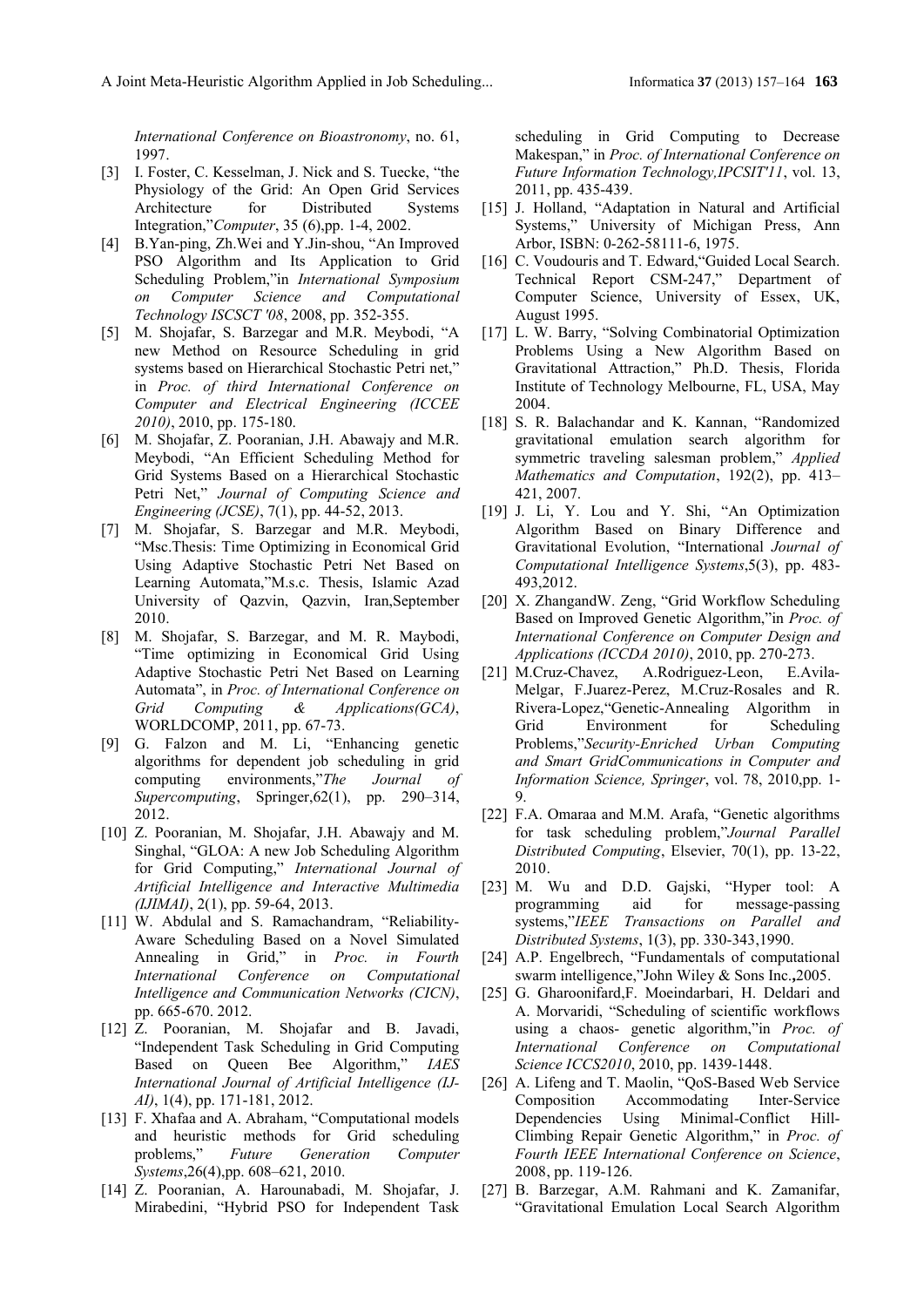*International Conference on Bioastronomy*, no. 61, 1997.

- [3] I. Foster, C. Kesselman, J. Nick and S. Tuecke, "the Physiology of the Grid: An Open Grid Services Architecture for Distributed Systems Integration,"*Computer*, 35 (6),pp. 1-4, 2002.
- [4] B.Yan-ping, Zh.Wei and Y.Jin-shou, "An Improved PSO Algorithm and Its Application to Grid Scheduling Problem,"in *International Symposium on Computer Science and Computational Technology ISCSCT '08*, 2008, pp. 352-355.
- [5] M. Shojafar, S. Barzegar and M.R. Meybodi, "A new Method on Resource Scheduling in grid systems based on Hierarchical Stochastic Petri net," in *Proc. of third International Conference on Computer and Electrical Engineering (ICCEE 2010)*, 2010, pp. 175-180.
- [6] M. Shojafar, Z. Pooranian, J.H. Abawajy and M.R. Meybodi, "An Efficient Scheduling Method for Grid Systems Based on a Hierarchical Stochastic Petri Net," *Journal of Computing Science and Engineering (JCSE)*, 7(1), pp. 44-52, 2013.
- [7] M. Shojafar, S. Barzegar and M.R. Meybodi, "Msc.Thesis: Time Optimizing in Economical Grid Using Adaptive Stochastic Petri Net Based on Learning Automata,"M.s.c. Thesis, Islamic Azad University of Qazvin, Qazvin, Iran,September 2010.
- [8] M. Shojafar, S. Barzegar, and M. R. Maybodi, "Time optimizing in Economical Grid Using Adaptive Stochastic Petri Net Based on Learning Automata", in *Proc. of International Conference on Grid Computing & Applications(GCA)*, WORLDCOMP, 2011, pp. 67-73.
- [9] G. Falzon and M. Li, "Enhancing genetic algorithms for dependent job scheduling in grid computing environments,"*The Journal of Supercomputing*, Springer,62(1), pp. 290–314, 2012.
- [10] Z. Pooranian, M. Shojafar, J.H. Abawajy and M. Singhal, "GLOA: A new Job Scheduling Algorithm for Grid Computing," *International Journal of Artificial Intelligence and Interactive Multimedia (IJIMAI)*, 2(1), pp. 59-64, 2013.
- [11] W. Abdulal and S. Ramachandram, "Reliability-Aware Scheduling Based on a Novel Simulated Annealing in Grid," in *Proc. in Fourth International Conference on Computational Intelligence and Communication Networks (CICN)*, pp. 665-670. 2012.
- [12] Z. Pooranian, M. Shojafar and B. Javadi, "Independent Task Scheduling in Grid Computing Based on Queen Bee Algorithm," *IAES International Journal of Artificial Intelligence (IJ-AI)*, 1(4), pp. 171-181, 2012.
- [13] F. Xhafaa and A. Abraham, "Computational models and heuristic methods for Grid scheduling problems," *Future Generation Computer Systems*,26(4),pp. 608–621, 2010.
- [14] Z. Pooranian, A. Harounabadi, M. Shojafar, J. Mirabedini, "Hybrid PSO for Independent Task

scheduling in Grid Computing to Decrease Makespan," in *Proc. of International Conference on Future Information Technology,IPCSIT'11*, vol. 13, 2011, pp. 435-439.

- [15] J. Holland, "Adaptation in Natural and Artificial Systems," University of Michigan Press, Ann Arbor, ISBN: 0-262-58111-6, 1975.
- [16] C. Voudouris and T. Edward, "Guided Local Search. Technical Report CSM-247," Department of Computer Science, University of Essex, UK, August 1995.
- [17] L. W. Barry, "Solving Combinatorial Optimization Problems Using a New Algorithm Based on Gravitational Attraction," Ph.D. Thesis, Florida Institute of Technology Melbourne, FL, USA, May 2004.
- [18] S. R. Balachandar and K. Kannan, "Randomized gravitational emulation search algorithm for symmetric traveling salesman problem," *Applied Mathematics and Computation*, 192(2), pp. 413– 421, 2007.
- [19] J. Li, Y. Lou and Y. Shi, "An Optimization Algorithm Based on Binary Difference and Gravitational Evolution, "International *Journal of Computational Intelligence Systems*,5(3), pp. 483- 493,2012.
- [20] X. ZhangandW. Zeng, "Grid Workflow Scheduling Based on Improved Genetic Algorithm,"in *Proc. of International Conference on Computer Design and Applications (ICCDA 2010)*, 2010, pp. 270-273.
- [21] M.Cruz-Chavez, A.Rodriguez-Leon, E.Avila-Melgar, F.Juarez-Perez, M.Cruz-Rosales and R. Rivera-Lopez,"Genetic-Annealing Algorithm in Grid Environment for Scheduling Problems,"*Security-Enriched Urban Computing and Smart GridCommunications in Computer and Information Science, Springer*, vol. 78, 2010,pp. 1- 9.
- [22] F.A. Omaraa and M.M. Arafa, "Genetic algorithms for task scheduling problem,"*Journal Parallel Distributed Computing*, Elsevier, 70(1), pp. 13-22, 2010.
- [23] M. Wu and D.D. Gajski, "Hyper tool: A programming aid for message-passing systems,"*IEEE Transactions on Parallel and Distributed Systems*, 1(3), pp. 330-343,1990.
- [24] A.P. Engelbrech, "Fundamentals of computational swarm intelligence,"John Wiley & Sons Inc.**,**2005.
- [25] G. Gharoonifard,F. Moeindarbari, H. Deldari and A. Morvaridi, "Scheduling of scientific workflows using a chaos- genetic algorithm,"in *Proc. of International Conference on Computational Science ICCS2010*, 2010, pp. 1439-1448.
- [26] A. Lifeng and T. Maolin, "QoS-Based Web Service Composition Accommodating Inter-Service Dependencies Using Minimal-Conflict Hill-Climbing Repair Genetic Algorithm," in *Proc. of Fourth IEEE International Conference on Science*, 2008, pp. 119-126.
- [27] B. Barzegar, A.M. Rahmani and K. Zamanifar, "Gravitational Emulation Local Search Algorithm